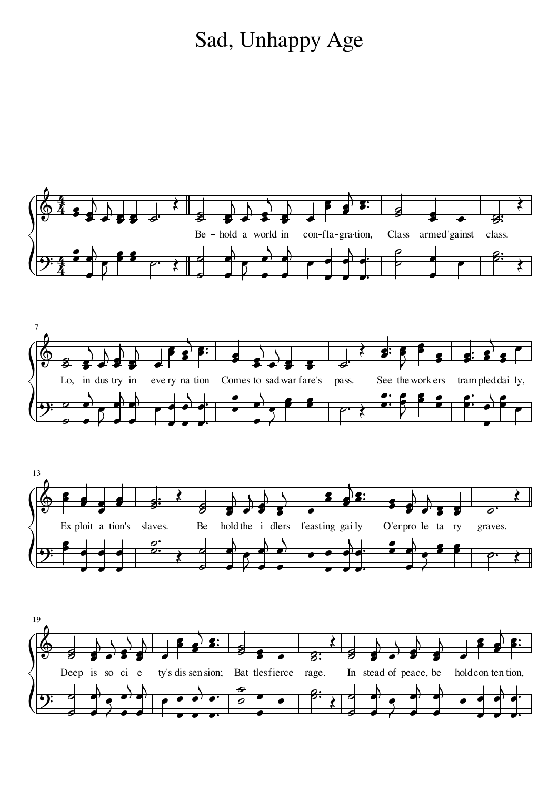## Sad, Unhappy Age